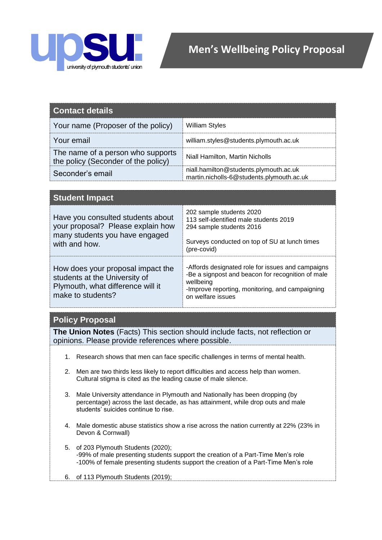

| <b>Contact details</b>                                                   |                                                                                     |
|--------------------------------------------------------------------------|-------------------------------------------------------------------------------------|
| Your name (Proposer of the policy)                                       | <b>William Styles</b>                                                               |
| Your email                                                               | william.styles@students.plymouth.ac.uk                                              |
| The name of a person who supports<br>the policy (Seconder of the policy) | Niall Hamilton, Martin Nicholls                                                     |
| Seconder's email                                                         | niall.hamilton@students.plymouth.ac.uk<br>martin.nicholls-6@students.plymouth.ac.uk |

| <b>Student Impact</b>                                                                                                        |                                                                                                                                                                                             |  |
|------------------------------------------------------------------------------------------------------------------------------|---------------------------------------------------------------------------------------------------------------------------------------------------------------------------------------------|--|
| Have you consulted students about<br>your proposal? Please explain how<br>many students you have engaged<br>with and how.    | 202 sample students 2020<br>113 self-identified male students 2019<br>294 sample students 2016<br>Surveys conducted on top of SU at lunch times<br>(pre-covid)                              |  |
| How does your proposal impact the<br>students at the University of<br>Plymouth, what difference will it<br>make to students? | -Affords designated role for issues and campaigns<br>-Be a signpost and beacon for recognition of male<br>wellbeing<br>-Improve reporting, monitoring, and campaigning<br>on welfare issues |  |

## **Policy Proposal**

**The Union Notes** (Facts) This section should include facts, not reflection or opinions. Please provide references where possible.

- 1. Research shows that men can face specific challenges in terms of mental health.
- 2. Men are two thirds less likely to report difficulties and access help than women. Cultural stigma is cited as the leading cause of male silence.
- 3. Male University attendance in Plymouth and Nationally has been dropping (by percentage) across the last decade, as has attainment, while drop outs and male students' suicides continue to rise.
- 4. Male domestic abuse statistics show a rise across the nation currently at 22% (23% in Devon & Cornwall)
- 5. of 203 Plymouth Students (2020); -99% of male presenting students support the creation of a Part-Time Men's role -100% of female presenting students support the creation of a Part-Time Men's role
- 6. of 113 Plymouth Students (2019);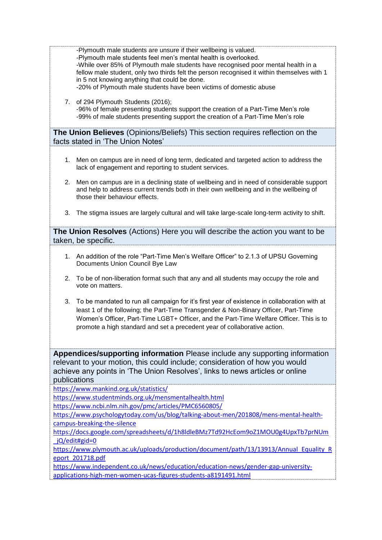|    | -Plymouth male students are unsure if their wellbeing is valued.<br>-Plymouth male students feel men's mental health is overlooked.<br>-While over 85% of Plymouth male students have recognised poor mental health in a<br>fellow male student, only two thirds felt the person recognised it within themselves with 1<br>in 5 not knowing anything that could be done.<br>-20% of Plymouth male students have been victims of domestic abuse |
|----|------------------------------------------------------------------------------------------------------------------------------------------------------------------------------------------------------------------------------------------------------------------------------------------------------------------------------------------------------------------------------------------------------------------------------------------------|
| 7. | of 294 Plymouth Students (2016);<br>-96% of female presenting students support the creation of a Part-Time Men's role<br>-99% of male students presenting support the creation of a Part-Time Men's role                                                                                                                                                                                                                                       |

**The Union Believes** (Opinions/Beliefs) This section requires reflection on the facts stated in 'The Union Notes'

- 1. Men on campus are in need of long term, dedicated and targeted action to address the lack of engagement and reporting to student services.
- 2. Men on campus are in a declining state of wellbeing and in need of considerable support and help to address current trends both in their own wellbeing and in the wellbeing of those their behaviour effects.
- 3. The stigma issues are largely cultural and will take large-scale long-term activity to shift.

**The Union Resolves** (Actions) Here you will describe the action you want to be taken, be specific.

- 1. An addition of the role "Part-Time Men's Welfare Officer" to 2.1.3 of UPSU Governing Documents Union Council Bye Law
- 2. To be of non-liberation format such that any and all students may occupy the role and vote on matters.
- 3. To be mandated to run all campaign for it's first year of existence in collaboration with at least 1 of the following; the Part-Time Transgender & Non-Binary Officer, Part-Time Women's Officer, Part-Time LGBT+ Officer, and the Part-Time Welfare Officer. This is to promote a high standard and set a precedent year of collaborative action.

**Appendices/supporting information** Please include any supporting information relevant to your motion, this could include; consideration of how you would achieve any points in 'The Union Resolves', links to news articles or online publications

<https://www.mankind.org.uk/statistics/>

<https://www.studentminds.org.uk/mensmentalhealth.html>

<https://www.ncbi.nlm.nih.gov/pmc/articles/PMC6560805/>

[https://www.psychologytoday.com/us/blog/talking-about-men/201808/mens-mental-health](https://www.psychologytoday.com/us/blog/talking-about-men/201808/mens-mental-health-campus-breaking-the-silence)[campus-breaking-the-silence](https://www.psychologytoday.com/us/blog/talking-about-men/201808/mens-mental-health-campus-breaking-the-silence)

[https://docs.google.com/spreadsheets/d/1h8ldleBMz7Td92HcEom9oZ1MOU0g4UpxTb7prNUm](https://docs.google.com/spreadsheets/d/1h8ldleBMz7Td92HcEom9oZ1MOU0g4UpxTb7prNUm_jQ/edit#gid=0) [\\_jQ/edit#gid=0](https://docs.google.com/spreadsheets/d/1h8ldleBMz7Td92HcEom9oZ1MOU0g4UpxTb7prNUm_jQ/edit#gid=0)

[https://www.plymouth.ac.uk/uploads/production/document/path/13/13913/Annual\\_Equality\\_R](https://www.plymouth.ac.uk/uploads/production/document/path/13/13913/Annual_Equality_Report_201718.pdf) [eport\\_201718.pdf](https://www.plymouth.ac.uk/uploads/production/document/path/13/13913/Annual_Equality_Report_201718.pdf)

[https://www.independent.co.uk/news/education/education-news/gender-gap-university](https://www.independent.co.uk/news/education/education-news/gender-gap-university-applications-high-men-women-ucas-figures-students-a8191491.html)[applications-high-men-women-ucas-figures-students-a8191491.html](https://www.independent.co.uk/news/education/education-news/gender-gap-university-applications-high-men-women-ucas-figures-students-a8191491.html)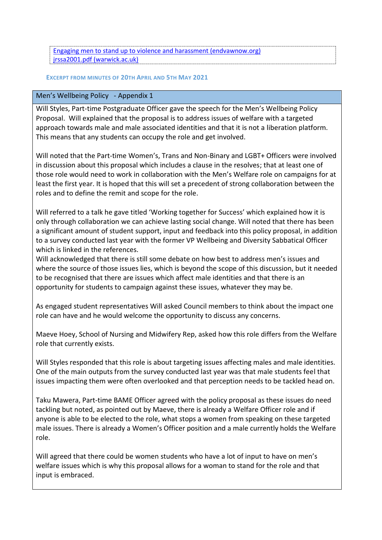[Engaging men to stand up to violence and harassment \(endvawnow.org\)](https://www.endvawnow.org/fr/articles/1987-engaging-men-to-stand-up-to-violence-and-harassment-.html) [jrssa2001.pdf \(warwick.ac.uk\)](https://warwick.ac.uk/fac/soc/economics/staff/ranaylor/publications/jrssa2001.pdf)

## **EXCERPT FROM MINUTES OF 20TH APRIL AND 5TH MAY 2021**

## Men's Wellbeing Policy - Appendix 1

Will Styles, Part-time Postgraduate Officer gave the speech for the Men's Wellbeing Policy Proposal. Will explained that the proposal is to address issues of welfare with a targeted approach towards male and male associated identities and that it is not a liberation platform. This means that any students can occupy the role and get involved.

Will noted that the Part-time Women's, Trans and Non-Binary and LGBT+ Officers were involved in discussion about this proposal which includes a clause in the resolves; that at least one of those role would need to work in collaboration with the Men's Welfare role on campaigns for at least the first year. It is hoped that this will set a precedent of strong collaboration between the roles and to define the remit and scope for the role.

Will referred to a talk he gave titled 'Working together for Success' which explained how it is only through collaboration we can achieve lasting social change. Will noted that there has been a significant amount of student support, input and feedback into this policy proposal, in addition to a survey conducted last year with the former VP Wellbeing and Diversity Sabbatical Officer which is linked in the references.

Will acknowledged that there is still some debate on how best to address men's issues and where the source of those issues lies, which is beyond the scope of this discussion, but it needed to be recognised that there are issues which affect male identities and that there is an opportunity for students to campaign against these issues, whatever they may be.

As engaged student representatives Will asked Council members to think about the impact one role can have and he would welcome the opportunity to discuss any concerns.

Maeve Hoey, School of Nursing and Midwifery Rep, asked how this role differs from the Welfare role that currently exists.

Will Styles responded that this role is about targeting issues affecting males and male identities. One of the main outputs from the survey conducted last year was that male students feel that issues impacting them were often overlooked and that perception needs to be tackled head on.

Taku Mawera, Part-time BAME Officer agreed with the policy proposal as these issues do need tackling but noted, as pointed out by Maeve, there is already a Welfare Officer role and if anyone is able to be elected to the role, what stops a women from speaking on these targeted male issues. There is already a Women's Officer position and a male currently holds the Welfare role.

Will agreed that there could be women students who have a lot of input to have on men's welfare issues which is why this proposal allows for a woman to stand for the role and that input is embraced.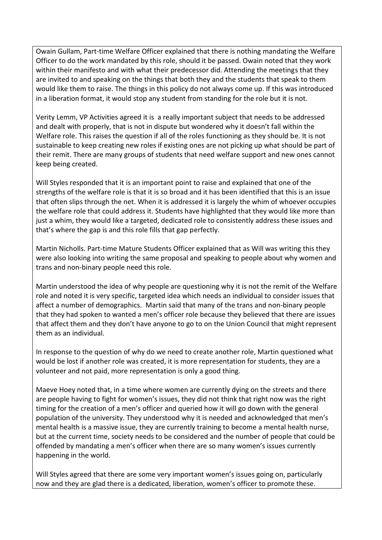Owain Gullam, Part-time Welfare Officer explained that there is nothing mandating the Welfare Officer to do the work mandated by this role, should it be passed. Owain noted that they work within their manifesto and with what their predecessor did. Attending the meetings that they are invited to and speaking on the things that both they and the students that speak to them would like them to raise. The things in this policy do not always come up. If this was introduced in a liberation format, it would stop any student from standing for the role but it is not.

Verity Lemm, VP Activities agreed it is a really important subject that needs to be addressed and dealt with properly, that is not in dispute but wondered why it doesn't fall within the Welfare role. This raises the question if all of the roles functioning as they should be. It is not sustainable to keep creating new roles if existing ones are not picking up what should be part of their remit. There are many groups of students that need welfare support and new ones cannot keep being created.

Will Styles responded that it is an important point to raise and explained that one of the strengths of the welfare role is that it is so broad and it has been identified that this is an issue that often slips through the net. When it is addressed it is largely the whim of whoever occupies the welfare role that could address it. Students have highlighted that they would like more than just a whim, they would like a targeted, dedicated role to consistently address these issues and that's where the gap is and this role fills that gap perfectly.

Martin Nicholls. Part-time Mature Students Officer explained that as Will was writing this they were also looking into writing the same proposal and speaking to people about why women and trans and non-binary people need this role.

Martin understood the idea of why people are questioning why it is not the remit of the Welfare role and noted it is very specific, targeted idea which needs an individual to consider issues that affect a number of demographics. Martin said that many of the trans and non-binary people that they had spoken to wanted a men's officer role because they believed that there are issues that affect them and they don't have anyone to go to on the Union Council that might represent them as an individual.

In response to the question of why do we need to create another role, Martin questioned what would be lost if another role was created, it is more representation for students, they are a volunteer and not paid, more representation is only a good thing.

Maeve Hoey noted that, in a time where women are currently dying on the streets and there are people having to fight for women's issues, they did not think that right now was the right timing for the creation of a men's officer and queried how it will go down with the general population of the university. They understood why it is needed and acknowledged that men's mental health is a massive issue, they are currently training to become a mental health nurse, but at the current time, society needs to be considered and the number of people that could be offended by mandating a men's officer when there are so many women's issues currently happening in the world.

Will Styles agreed that there are some very important women's issues going on, particularly now and they are glad there is a dedicated, liberation, women's officer to promote these.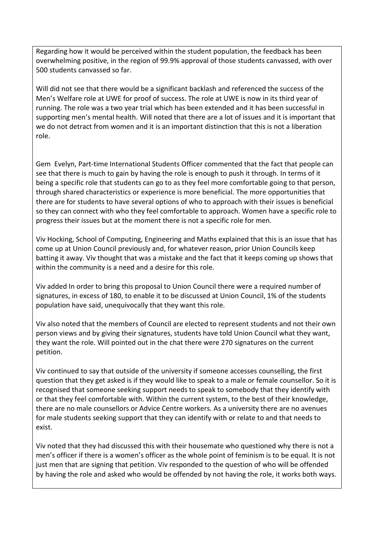Regarding how it would be perceived within the student population, the feedback has been overwhelming positive, in the region of 99.9% approval of those students canvassed, with over 500 students canvassed so far.

Will did not see that there would be a significant backlash and referenced the success of the Men's Welfare role at UWE for proof of success. The role at UWE is now in its third year of running. The role was a two year trial which has been extended and it has been successful in supporting men's mental health. Will noted that there are a lot of issues and it is important that we do not detract from women and it is an important distinction that this is not a liberation role.

Gem Evelyn, Part-time International Students Officer commented that the fact that people can see that there is much to gain by having the role is enough to push it through. In terms of it being a specific role that students can go to as they feel more comfortable going to that person, through shared characteristics or experience is more beneficial. The more opportunities that there are for students to have several options of who to approach with their issues is beneficial so they can connect with who they feel comfortable to approach. Women have a specific role to progress their issues but at the moment there is not a specific role for men.

Viv Hocking, School of Computing, Engineering and Maths explained that this is an issue that has come up at Union Council previously and, for whatever reason, prior Union Councils keep batting it away. Viv thought that was a mistake and the fact that it keeps coming up shows that within the community is a need and a desire for this role.

Viv added In order to bring this proposal to Union Council there were a required number of signatures, in excess of 180, to enable it to be discussed at Union Council, 1% of the students population have said, unequivocally that they want this role.

Viv also noted that the members of Council are elected to represent students and not their own person views and by giving their signatures, students have told Union Council what they want, they want the role. Will pointed out in the chat there were 270 signatures on the current petition.

Viv continued to say that outside of the university if someone accesses counselling, the first question that they get asked is if they would like to speak to a male or female counsellor. So it is recognised that someone seeking support needs to speak to somebody that they identify with or that they feel comfortable with. Within the current system, to the best of their knowledge, there are no male counsellors or Advice Centre workers. As a university there are no avenues for male students seeking support that they can identify with or relate to and that needs to exist.

Viv noted that they had discussed this with their housemate who questioned why there is not a men's officer if there is a women's officer as the whole point of feminism is to be equal. It is not just men that are signing that petition. Viv responded to the question of who will be offended by having the role and asked who would be offended by not having the role, it works both ways.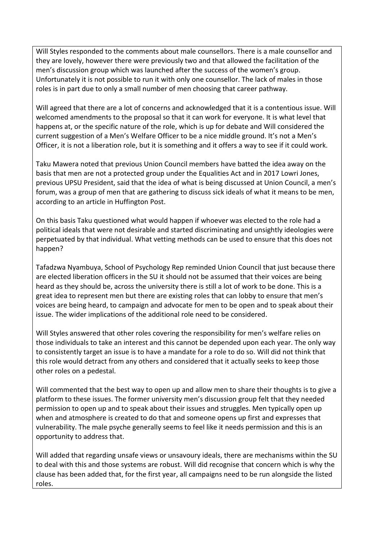Will Styles responded to the comments about male counsellors. There is a male counsellor and they are lovely, however there were previously two and that allowed the facilitation of the men's discussion group which was launched after the success of the women's group. Unfortunately it is not possible to run it with only one counsellor. The lack of males in those roles is in part due to only a small number of men choosing that career pathway.

Will agreed that there are a lot of concerns and acknowledged that it is a contentious issue. Will welcomed amendments to the proposal so that it can work for everyone. It is what level that happens at, or the specific nature of the role, which is up for debate and Will considered the current suggestion of a Men's Welfare Officer to be a nice middle ground. It's not a Men's Officer, it is not a liberation role, but it is something and it offers a way to see if it could work.

Taku Mawera noted that previous Union Council members have batted the idea away on the basis that men are not a protected group under the Equalities Act and in 2017 Lowri Jones, previous UPSU President, said that the idea of what is being discussed at Union Council, a men's forum, was a group of men that are gathering to discuss sick ideals of what it means to be men, according to an article in Huffington Post.

On this basis Taku questioned what would happen if whoever was elected to the role had a political ideals that were not desirable and started discriminating and unsightly ideologies were perpetuated by that individual. What vetting methods can be used to ensure that this does not happen?

Tafadzwa Nyambuya, School of Psychology Rep reminded Union Council that just because there are elected liberation officers in the SU it should not be assumed that their voices are being heard as they should be, across the university there is still a lot of work to be done. This is a great idea to represent men but there are existing roles that can lobby to ensure that men's voices are being heard, to campaign and advocate for men to be open and to speak about their issue. The wider implications of the additional role need to be considered.

Will Styles answered that other roles covering the responsibility for men's welfare relies on those individuals to take an interest and this cannot be depended upon each year. The only way to consistently target an issue is to have a mandate for a role to do so. Will did not think that this role would detract from any others and considered that it actually seeks to keep those other roles on a pedestal.

Will commented that the best way to open up and allow men to share their thoughts is to give a platform to these issues. The former university men's discussion group felt that they needed permission to open up and to speak about their issues and struggles. Men typically open up when and atmosphere is created to do that and someone opens up first and expresses that vulnerability. The male psyche generally seems to feel like it needs permission and this is an opportunity to address that.

Will added that regarding unsafe views or unsavoury ideals, there are mechanisms within the SU to deal with this and those systems are robust. Will did recognise that concern which is why the clause has been added that, for the first year, all campaigns need to be run alongside the listed roles.